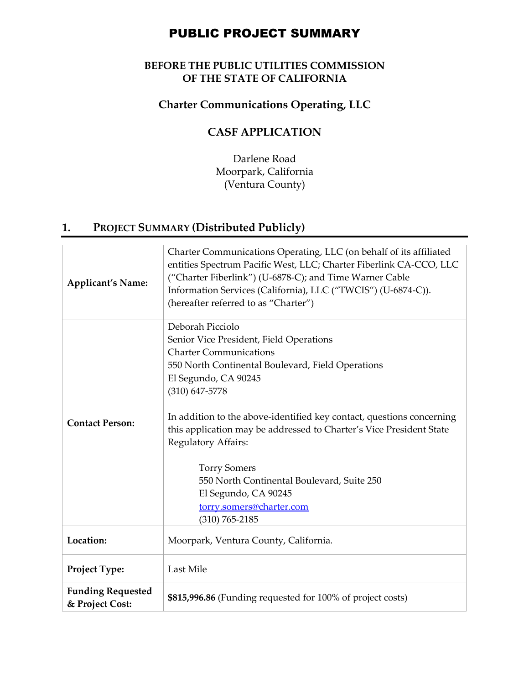# PUBLIC PROJECT SUMMARY

#### **BEFORE THE PUBLIC UTILITIES COMMISSION OF THE STATE OF CALIFORNIA**

## **Charter Communications Operating, LLC**

## **CASF APPLICATION**

Darlene Road Moorpark, California (Ventura County)

## **1. PROJECT SUMMARY (Distributed Publicly)**

| <b>Applicant's Name:</b>                    | Charter Communications Operating, LLC (on behalf of its affiliated<br>entities Spectrum Pacific West, LLC; Charter Fiberlink CA-CCO, LLC<br>("Charter Fiberlink") (U-6878-C); and Time Warner Cable<br>Information Services (California), LLC ("TWCIS") (U-6874-C)).<br>(hereafter referred to as "Charter")                                                                                                                                                                                                        |
|---------------------------------------------|---------------------------------------------------------------------------------------------------------------------------------------------------------------------------------------------------------------------------------------------------------------------------------------------------------------------------------------------------------------------------------------------------------------------------------------------------------------------------------------------------------------------|
| <b>Contact Person:</b>                      | Deborah Picciolo<br>Senior Vice President, Field Operations<br><b>Charter Communications</b><br>550 North Continental Boulevard, Field Operations<br>El Segundo, CA 90245<br>$(310)$ 647-5778<br>In addition to the above-identified key contact, questions concerning<br>this application may be addressed to Charter's Vice President State<br>Regulatory Affairs:<br><b>Torry Somers</b><br>550 North Continental Boulevard, Suite 250<br>El Segundo, CA 90245<br>torry.somers@charter.com<br>$(310) 765 - 2185$ |
| Location:                                   | Moorpark, Ventura County, California.                                                                                                                                                                                                                                                                                                                                                                                                                                                                               |
| Project Type:                               | Last Mile                                                                                                                                                                                                                                                                                                                                                                                                                                                                                                           |
| <b>Funding Requested</b><br>& Project Cost: | \$815,996.86 (Funding requested for 100% of project costs)                                                                                                                                                                                                                                                                                                                                                                                                                                                          |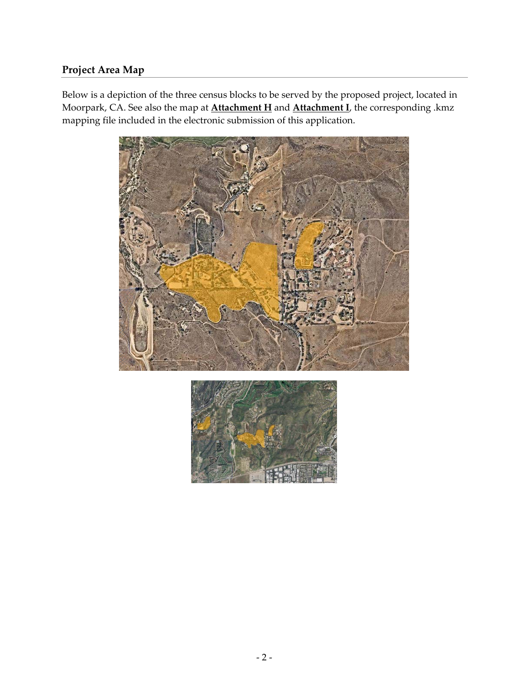## **Project Area Map**

Below is a depiction of the three census blocks to be served by the proposed project, located in Moorpark, CA. See also the map at **Attachment H** and **Attachment I**, the corresponding .kmz mapping file included in the electronic submission of this application.



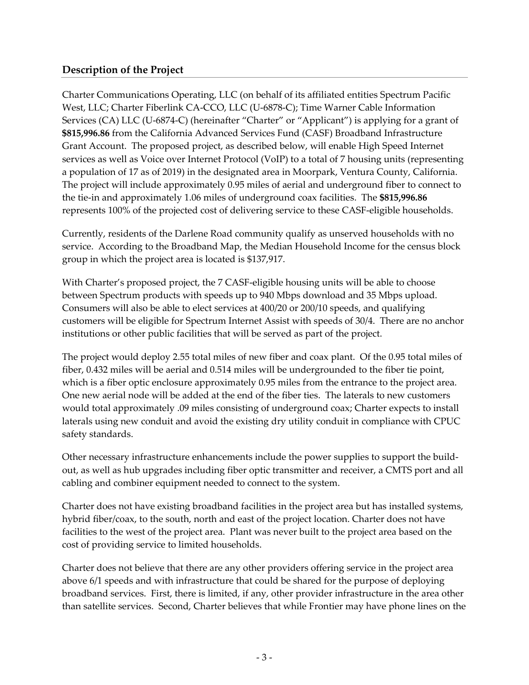#### **Description of the Project**

Charter Communications Operating, LLC (on behalf of its affiliated entities Spectrum Pacific West, LLC; Charter Fiberlink CA‐CCO, LLC (U‐6878‐C); Time Warner Cable Information Services (CA) LLC (U-6874-C) (hereinafter "Charter" or "Applicant") is applying for a grant of **\$815,996.86** from the California Advanced Services Fund (CASF) Broadband Infrastructure Grant Account. The proposed project, as described below, will enable High Speed Internet services as well as Voice over Internet Protocol (VoIP) to a total of 7 housing units (representing a population of 17 as of 2019) in the designated area in Moorpark, Ventura County, California. The project will include approximately 0.95 miles of aerial and underground fiber to connect to the tie‐in and approximately 1.06 miles of underground coax facilities. The **\$815,996.86** represents 100% of the projected cost of delivering service to these CASF‐eligible households.

Currently, residents of the Darlene Road community qualify as unserved households with no service. According to the Broadband Map, the Median Household Income for the census block group in which the project area is located is \$137,917.

With Charter's proposed project, the 7 CASF-eligible housing units will be able to choose between Spectrum products with speeds up to 940 Mbps download and 35 Mbps upload. Consumers will also be able to elect services at 400/20 or 200/10 speeds, and qualifying customers will be eligible for Spectrum Internet Assist with speeds of 30/4. There are no anchor institutions or other public facilities that will be served as part of the project.

The project would deploy 2.55 total miles of new fiber and coax plant. Of the 0.95 total miles of fiber, 0.432 miles will be aerial and 0.514 miles will be undergrounded to the fiber tie point, which is a fiber optic enclosure approximately 0.95 miles from the entrance to the project area. One new aerial node will be added at the end of the fiber ties. The laterals to new customers would total approximately .09 miles consisting of underground coax; Charter expects to install laterals using new conduit and avoid the existing dry utility conduit in compliance with CPUC safety standards.

Other necessary infrastructure enhancements include the power supplies to support the build‐ out, as well as hub upgrades including fiber optic transmitter and receiver, a CMTS port and all cabling and combiner equipment needed to connect to the system.

Charter does not have existing broadband facilities in the project area but has installed systems, hybrid fiber/coax, to the south, north and east of the project location. Charter does not have facilities to the west of the project area. Plant was never built to the project area based on the cost of providing service to limited households.

Charter does not believe that there are any other providers offering service in the project area above 6/1 speeds and with infrastructure that could be shared for the purpose of deploying broadband services. First, there is limited, if any, other provider infrastructure in the area other than satellite services. Second, Charter believes that while Frontier may have phone lines on the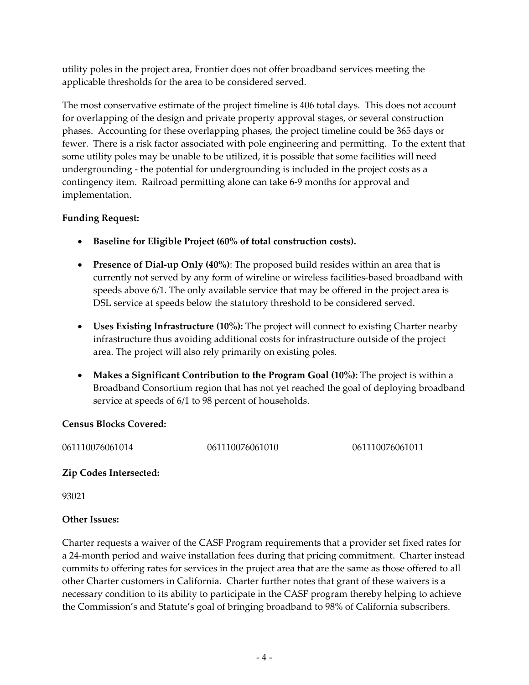utility poles in the project area, Frontier does not offer broadband services meeting the applicable thresholds for the area to be considered served.

The most conservative estimate of the project timeline is 406 total days. This does not account for overlapping of the design and private property approval stages, or several construction phases. Accounting for these overlapping phases, the project timeline could be 365 days or fewer. There is a risk factor associated with pole engineering and permitting. To the extent that some utility poles may be unable to be utilized, it is possible that some facilities will need undergrounding ‐ the potential for undergrounding is included in the project costs as a contingency item. Railroad permitting alone can take 6‐9 months for approval and implementation.

#### **Funding Request:**

- **Baseline for Eligible Project (60% of total construction costs).**
- **Presence of Dial‐up Only (40%)**: The proposed build resides within an area that is currently not served by any form of wireline or wireless facilities‐based broadband with speeds above 6/1. The only available service that may be offered in the project area is DSL service at speeds below the statutory threshold to be considered served.
- **Uses Existing Infrastructure (10%):** The project will connect to existing Charter nearby infrastructure thus avoiding additional costs for infrastructure outside of the project area. The project will also rely primarily on existing poles.
- **Makes a Significant Contribution to the Program Goal (10%):** The project is within a Broadband Consortium region that has not yet reached the goal of deploying broadband service at speeds of 6/1 to 98 percent of households.

#### **Census Blocks Covered:**

061110076061014 061110076061010 061110076061011

#### **Zip Codes Intersected:**

93021

#### **Other Issues:**

Charter requests a waiver of the CASF Program requirements that a provider set fixed rates for a 24‐month period and waive installation fees during that pricing commitment. Charter instead commits to offering rates for services in the project area that are the same as those offered to all other Charter customers in California. Charter further notes that grant of these waivers is a necessary condition to its ability to participate in the CASF program thereby helping to achieve the Commission's and Statute's goal of bringing broadband to 98% of California subscribers.